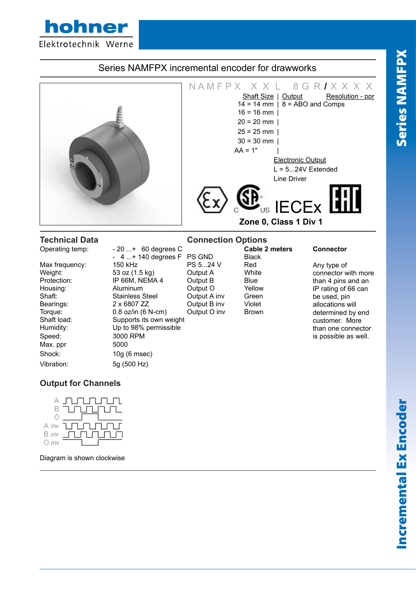hohner  $H_{\text{H}}$  distributors Terms  $H_{\text{H}}$  and  $3D_{\text{H}}$  are  $D_{\text{H}}$  and  $3D_{\text{H}}$  and  $3D_{\text{H}}$  and  $3D_{\text{H}}$  and  $3D_{\text{H}}$  are  $3D_{\text{H}}$  and  $3D_{\text{H}}$  are  $3D_{\text{H}}$  and  $3D_{\text{H}}$  and  $3D_{\text{H}}$  are  $3D_{\text{H}}$  and

### NAMFPX XXL 8GR**/** XXX<br>Shaft Size | Output Resolution - ppr Shaft Size | Output  $14 = 14$  mm  $\overline{) \cdot 8} = \overline{ABO}$  and Comps  $16 = 16$  mm |  $20 = 20$  mm |  $25 = 25$  mm |  $30 = 30$  mm |  $AA = 1"$ Electronic Output  $L = 5...24V$  Extended Line Driver **IECE<sub>x</sub> Zone 0, Class 1 Div 1 Technical Data Connection Options**<br> **Connection Operating temp:**  $\begin{array}{r} 20 \ldots + 60 \text{ degrees C} \\ -20 \text{ cm} \end{array}$  **Cable 2 meters** - 20 ...+ 60 degrees C **Cable 2 meters Connector**<br>- 4 ...+ 140 degrees F PS GND Black 4 ...+ 140 degrees F PS GND Black-<br>150 kHz PS 5...24 V Red Any type of than 4 pins and an IP rating of 66 can be used, pin Max frequency:  $150 \text{ kHz}$  PS 5...24 V Red<br>
Weight:  $53 \text{ oz } (1.5 \text{ ka})$  Output A White Weight: 53 oz (1.5 kg) Output A<br>Protection: IP 66M. NEMA 4 Output B Protection: IP 66M, NEMA 4 Output B Blue Housing: Aluminum Cutput O Yellow Shaft: Stainless Steel Output A inv Green Bearings: 2 x 6807 ZZ Cutput B inv Violet

Speed: 3000 RPM Max. ppr 5000 Vibration: 5g (500 Hz)

Torque: 0.8 oz/in (6 N-cm) Output O inv Brown Shaft load: Supports its own weight Humidity: Up to 98% permissible Shock: 10g (6 msec)

connector with more allocations will determined by end customer. More than one connector is possible as well.

# **Output for Channels**



Diagram is shown clockwise

Series NAMFPX

**Series NAMFPX**